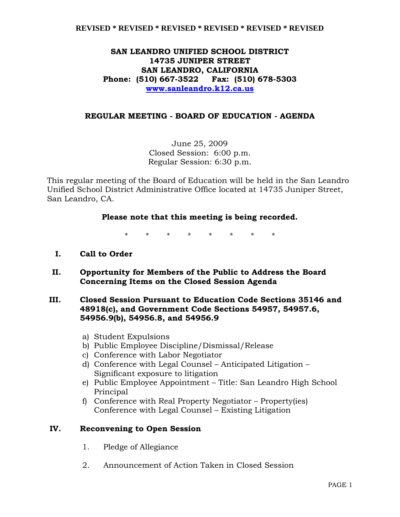## **SAN LEANDRO UNIFIED SCHOOL DISTRICT 14735 JUNIPER STREET SAN LEANDRO, CALIFORNIA Phone: (510) 667-3522 Fax: (510) 678-5303 www.sanleandro.k12.ca.us**

### **REGULAR MEETING - BOARD OF EDUCATION - AGENDA**

June 25, 2009 Closed Session: 6:00 p.m. Regular Session: 6:30 p.m.

This regular meeting of the Board of Education will be held in the San Leandro Unified School District Administrative Office located at 14735 Juniper Street, San Leandro, CA.

### **Please note that this meeting is being recorded.**

\* \* \* \* \* \* \* \*

- **I. Call to Order**
- **II. Opportunity for Members of the Public to Address the Board Concerning Items on the Closed Session Agenda**

### **III. Closed Session Pursuant to Education Code Sections 35146 and 48918(c), and Government Code Sections 54957, 54957.6, 54956.9(b), 54956.8, and 54956.9**

- a) Student Expulsions
- b) Public Employee Discipline/Dismissal/Release
- c) Conference with Labor Negotiator
- d) Conference with Legal Counsel Anticipated Litigation Significant exposure to litigation
- e) Public Employee Appointment Title: San Leandro High School Principal
- f) Conference with Real Property Negotiator Property(ies) Conference with Legal Counsel – Existing Litigation

### **IV. Reconvening to Open Session**

- 1. Pledge of Allegiance
- 2. Announcement of Action Taken in Closed Session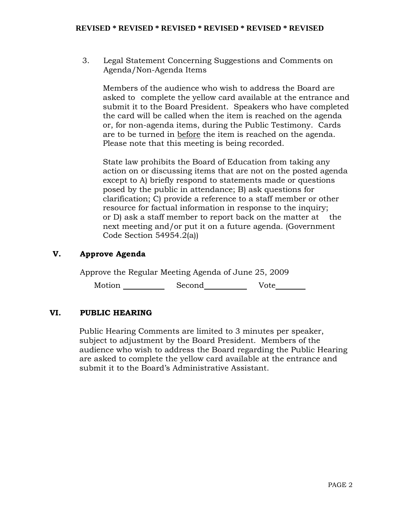3. Legal Statement Concerning Suggestions and Comments on Agenda/Non-Agenda Items

 Members of the audience who wish to address the Board are asked to complete the yellow card available at the entrance and submit it to the Board President. Speakers who have completed the card will be called when the item is reached on the agenda or, for non-agenda items, during the Public Testimony. Cards are to be turned in before the item is reached on the agenda. Please note that this meeting is being recorded.

 State law prohibits the Board of Education from taking any action on or discussing items that are not on the posted agenda except to A) briefly respond to statements made or questions posed by the public in attendance; B) ask questions for clarification; C) provide a reference to a staff member or other resource for factual information in response to the inquiry; or D) ask a staff member to report back on the matter at the next meeting and/or put it on a future agenda. (Government Code Section 54954.2(a))

# **V. Approve Agenda**

Approve the Regular Meeting Agenda of June 25, 2009

Motion \_\_\_\_\_\_\_\_\_\_\_\_ Second\_\_\_\_\_\_\_\_\_\_\_\_\_ Vote\_\_\_\_\_\_\_\_

## **VI. PUBLIC HEARING**

Public Hearing Comments are limited to 3 minutes per speaker, subject to adjustment by the Board President. Members of the audience who wish to address the Board regarding the Public Hearing are asked to complete the yellow card available at the entrance and submit it to the Board's Administrative Assistant.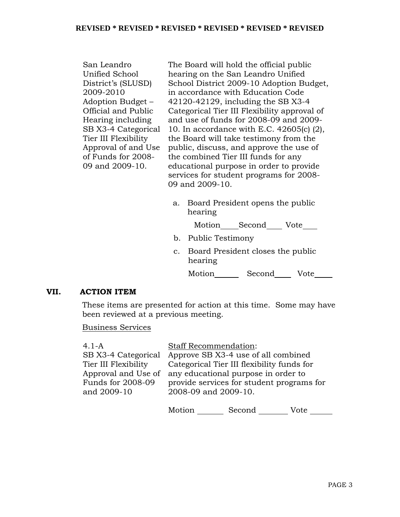| San Leandro          | The Board will hold the official public      |  |  |  |
|----------------------|----------------------------------------------|--|--|--|
| Unified School       | hearing on the San Leandro Unified           |  |  |  |
| District's (SLUSD)   | School District 2009-10 Adoption Budget,     |  |  |  |
| 2009-2010            | in accordance with Education Code            |  |  |  |
| Adoption Budget –    | 42120-42129, including the SB X3-4           |  |  |  |
| Official and Public  | Categorical Tier III Flexibility approval of |  |  |  |
| Hearing including    | and use of funds for 2008-09 and 2009-       |  |  |  |
| SB X3-4 Categorical  | 10. In accordance with E.C. 42605(c) (2),    |  |  |  |
| Tier III Flexibility | the Board will take testimony from the       |  |  |  |
| Approval of and Use  | public, discuss, and approve the use of      |  |  |  |
| of Funds for 2008-   | the combined Tier III funds for any          |  |  |  |
| 09 and 2009-10.      | educational purpose in order to provide      |  |  |  |
|                      | services for student programs for 2008-      |  |  |  |
|                      | 09 and 2009-10.                              |  |  |  |

a. Board President opens the public hearing

Motion Second Vote

- b. Public Testimony
- c. Board President closes the public hearing

Motion Second Vote

#### **VII. ACTION ITEM**

 These items are presented for action at this time. Some may have been reviewed at a previous meeting.

## Business Services

| $4.1 - A$            | <b>Staff Recommendation:</b>                            |
|----------------------|---------------------------------------------------------|
|                      | SB X3-4 Categorical Approve SB X3-4 use of all combined |
| Tier III Flexibility | Categorical Tier III flexibility funds for              |
| Approval and Use of  | any educational purpose in order to                     |
| Funds for 2008-09    | provide services for student programs for               |
| and 2009-10          | 2008-09 and 2009-10.                                    |
|                      |                                                         |

Motion Second Vote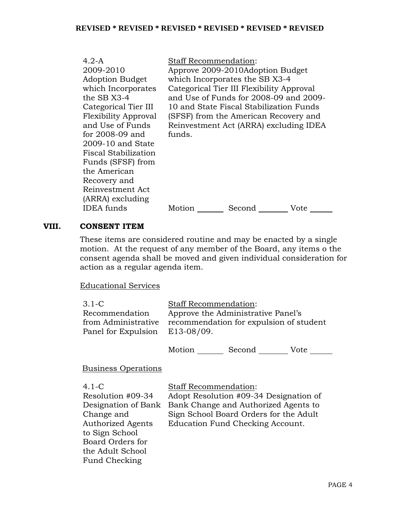| 4.2-A<br>2009-2010<br>Adoption Budget<br>which Incorporates<br>the SB X3-4<br>Categorical Tier III<br>Flexibility Approval<br>and Use of Funds<br>for 2008-09 and<br>2009-10 and State<br>Fiscal Stabilization<br>Funds (SFSF) from<br>the American<br>Recovery and<br>Reinvestment Act | <b>Staff Recommendation:</b><br>funds. | Approve 2009-2010Adoption Budget<br>which Incorporates the SB X3-4<br>Categorical Tier III Flexibility Approval<br>and Use of Funds for 2008-09 and 2009-<br>10 and State Fiscal Stabilization Funds<br>(SFSF) from the American Recovery and<br>Reinvestment Act (ARRA) excluding IDEA |      |
|-----------------------------------------------------------------------------------------------------------------------------------------------------------------------------------------------------------------------------------------------------------------------------------------|----------------------------------------|-----------------------------------------------------------------------------------------------------------------------------------------------------------------------------------------------------------------------------------------------------------------------------------------|------|
| (ARRA) excluding<br>IDEA funds                                                                                                                                                                                                                                                          | Motion                                 | Second                                                                                                                                                                                                                                                                                  | Vote |
|                                                                                                                                                                                                                                                                                         |                                        |                                                                                                                                                                                                                                                                                         |      |

## **VIII. CONSENT ITEM**

These items are considered routine and may be enacted by a single motion. At the request of any member of the Board, any items o the consent agenda shall be moved and given individual consideration for action as a regular agenda item.

## Educational Services

| $3.1\text{ }C$<br>Recommendation<br>from Administrative<br>Panel for Expulsion                                                                                                    | <b>Staff Recommendation:</b><br>Approve the Administrative Panel's<br>recommendation for expulsion of student<br>E13-08/09.                                                                  |  |  |
|-----------------------------------------------------------------------------------------------------------------------------------------------------------------------------------|----------------------------------------------------------------------------------------------------------------------------------------------------------------------------------------------|--|--|
|                                                                                                                                                                                   | Motion Second Vote                                                                                                                                                                           |  |  |
| <b>Business Operations</b>                                                                                                                                                        |                                                                                                                                                                                              |  |  |
| $4.1 - C$<br>Resolution #09-34<br>Designation of Bank<br>Change and<br><b>Authorized Agents</b><br>to Sign School<br>Board Orders for<br>the Adult School<br><b>Fund Checking</b> | <b>Staff Recommendation:</b><br>Adopt Resolution #09-34 Designation of<br>Bank Change and Authorized Agents to<br>Sign School Board Orders for the Adult<br>Education Fund Checking Account. |  |  |